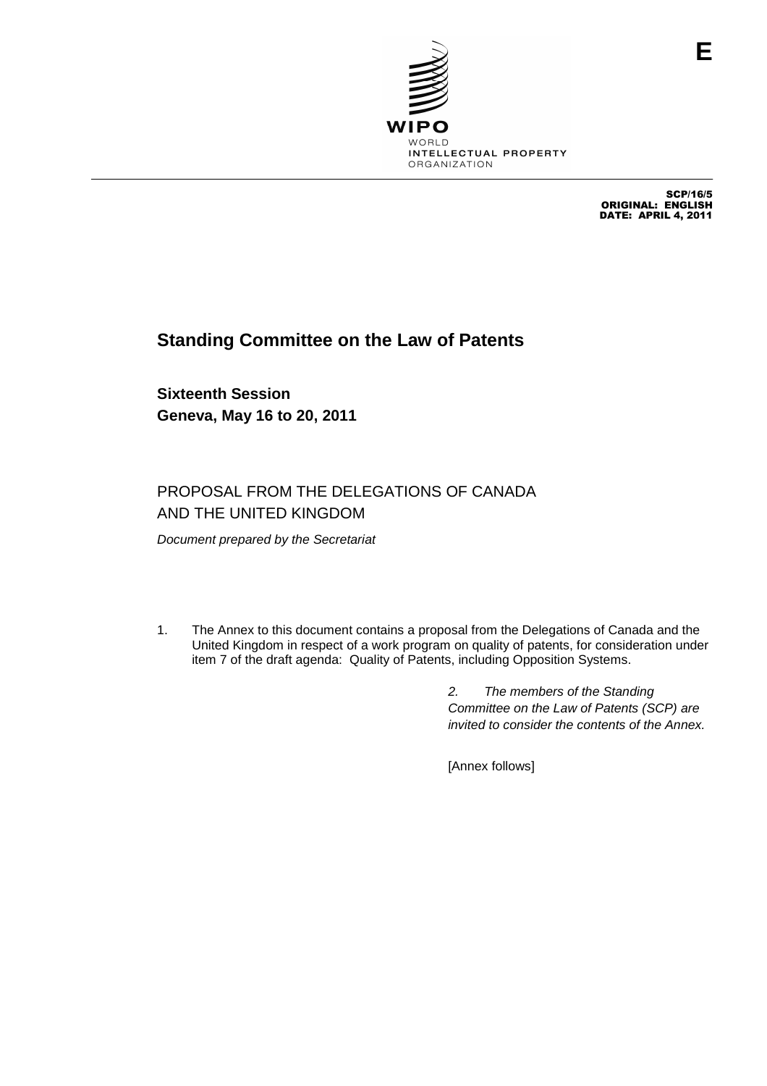

SCP/16/5 ORIGINAL: ENGLISH DATE: APRIL 4, 2011

# **Standing Committee on the Law of Patents**

**Sixteenth Session Geneva, May 16 to 20, 2011**

## PROPOSAL FROM THE DELEGATIONS OF CANADA AND THE UNITED KINGDOM

Document prepared by the Secretariat

1. The Annex to this document contains a proposal from the Delegations of Canada and the United Kingdom in respect of a work program on quality of patents, for consideration under item 7 of the draft agenda: Quality of Patents, including Opposition Systems.

> 2. The members of the Standing Committee on the Law of Patents (SCP) are invited to consider the contents of the Annex.

[Annex follows]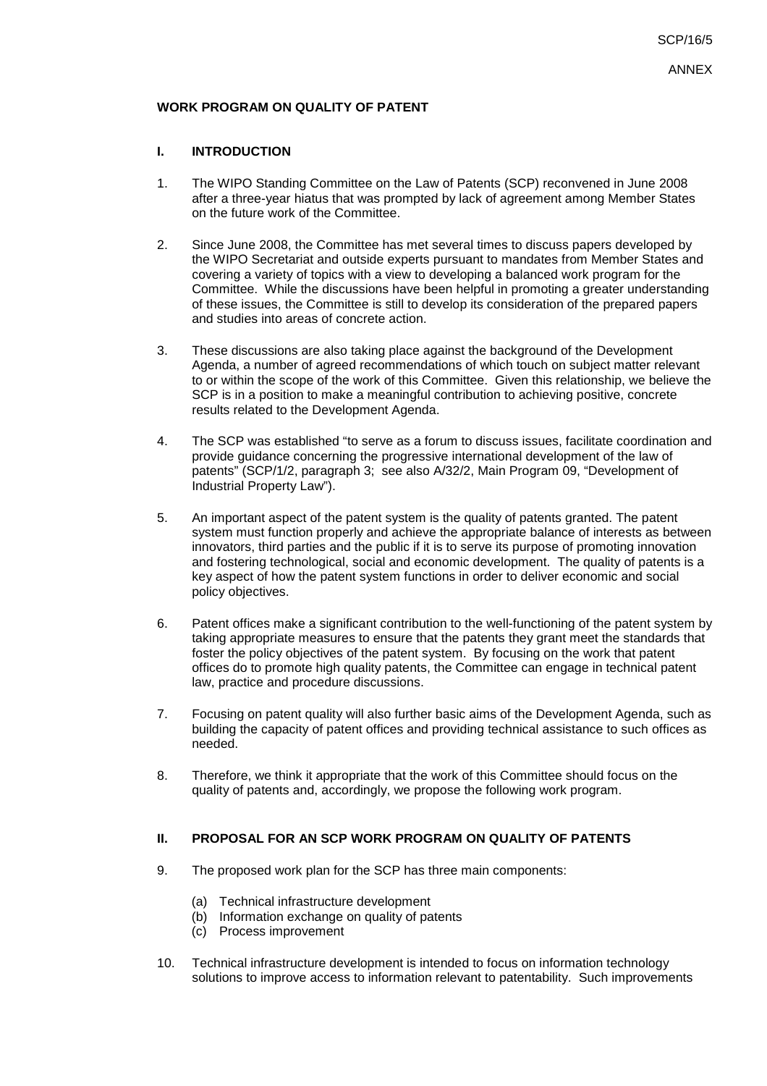## **WORK PROGRAM ON QUALITY OF PATENT**

### **I. INTRODUCTION**

- 1. The WIPO Standing Committee on the Law of Patents (SCP) reconvened in June 2008 after a three-year hiatus that was prompted by lack of agreement among Member States on the future work of the Committee.
- 2. Since June 2008, the Committee has met several times to discuss papers developed by the WIPO Secretariat and outside experts pursuant to mandates from Member States and covering a variety of topics with a view to developing a balanced work program for the Committee. While the discussions have been helpful in promoting a greater understanding of these issues, the Committee is still to develop its consideration of the prepared papers and studies into areas of concrete action.
- 3. These discussions are also taking place against the background of the Development Agenda, a number of agreed recommendations of which touch on subject matter relevant to or within the scope of the work of this Committee. Given this relationship, we believe the SCP is in a position to make a meaningful contribution to achieving positive, concrete results related to the Development Agenda.
- 4. The SCP was established "to serve as a forum to discuss issues, facilitate coordination and provide guidance concerning the progressive international development of the law of patents" (SCP/1/2, paragraph 3; see also A/32/2, Main Program 09, "Development of Industrial Property Law").
- 5. An important aspect of the patent system is the quality of patents granted. The patent system must function properly and achieve the appropriate balance of interests as between innovators, third parties and the public if it is to serve its purpose of promoting innovation and fostering technological, social and economic development. The quality of patents is a key aspect of how the patent system functions in order to deliver economic and social policy objectives.
- 6. Patent offices make a significant contribution to the well-functioning of the patent system by taking appropriate measures to ensure that the patents they grant meet the standards that foster the policy objectives of the patent system. By focusing on the work that patent offices do to promote high quality patents, the Committee can engage in technical patent law, practice and procedure discussions.
- 7. Focusing on patent quality will also further basic aims of the Development Agenda, such as building the capacity of patent offices and providing technical assistance to such offices as needed.
- 8. Therefore, we think it appropriate that the work of this Committee should focus on the quality of patents and, accordingly, we propose the following work program.

### **II. PROPOSAL FOR AN SCP WORK PROGRAM ON QUALITY OF PATENTS**

- 9. The proposed work plan for the SCP has three main components:
	- (a) Technical infrastructure development
	- (b) Information exchange on quality of patents
	- (c) Process improvement
- 10. Technical infrastructure development is intended to focus on information technology solutions to improve access to information relevant to patentability. Such improvements